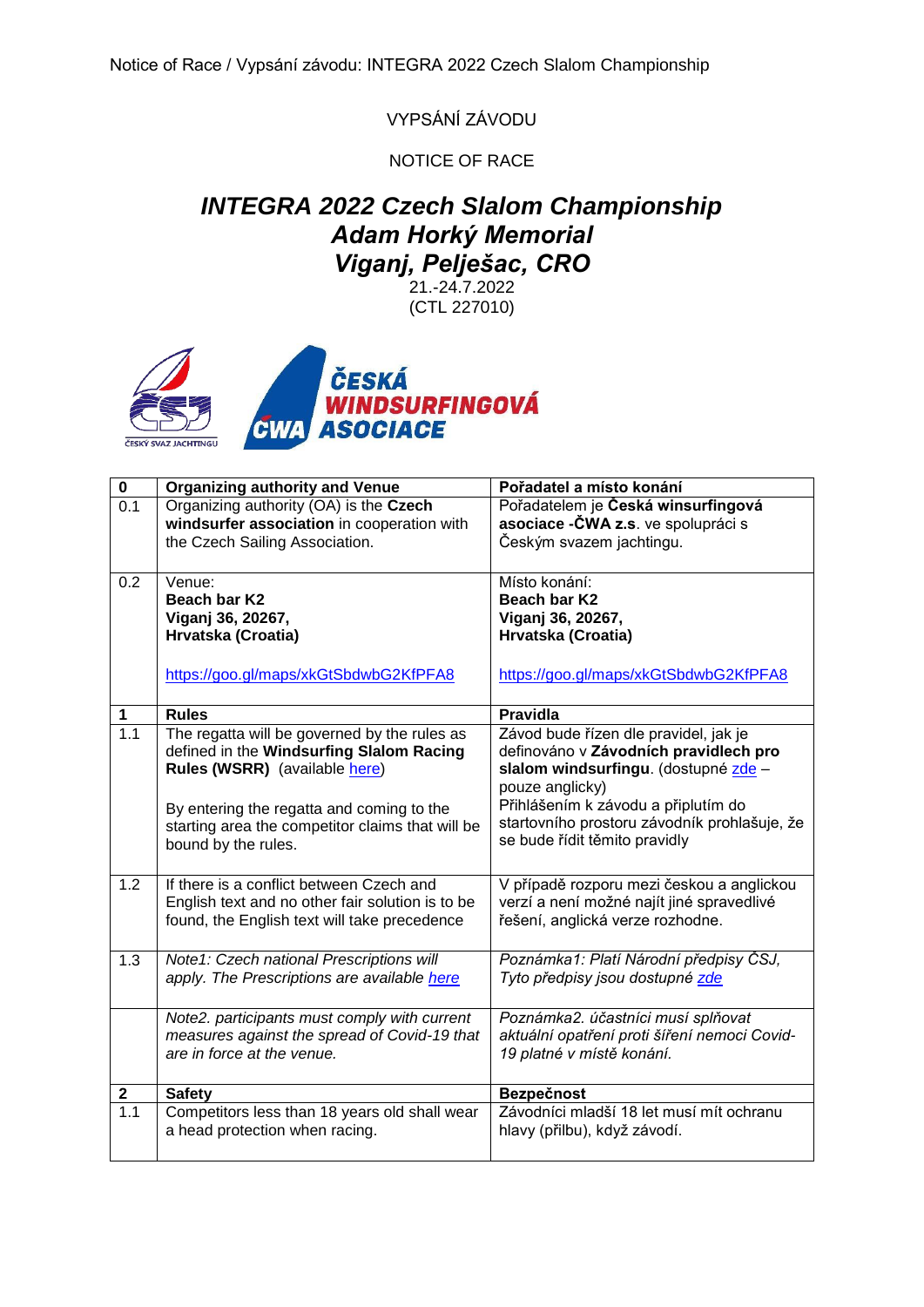VYPSÁNÍ ZÁVODU

NOTICE OF RACE

## *INTEGRA 2022 Czech Slalom Championship Adam Horký Memorial Viganj, Pelješac, CRO*

21.-24.7.2022 (CTL 227010)



| $\pmb{0}$ | <b>Organizing authority and Venue</b>            | Pořadatel a místo konání                     |
|-----------|--------------------------------------------------|----------------------------------------------|
| 0.1       | Organizing authority (OA) is the Czech           | Pořadatelem je Česká winsurfingová           |
|           | windsurfer association in cooperation with       | asociace - ČWA z.s. ve spolupráci s          |
|           | the Czech Sailing Association.                   | Českým svazem jachtingu.                     |
|           |                                                  |                                              |
| 0.2       | Venue:                                           | Místo konání:                                |
|           | Beach bar K2                                     | Beach bar K2                                 |
|           | Viganj 36, 20267,                                | Viganj 36, 20267,                            |
|           | Hrvatska (Croatia)                               | Hrvatska (Croatia)                           |
|           |                                                  |                                              |
|           | https://goo.gl/maps/xkGtSbdwbG2KfPFA8            | https://goo.gl/maps/xkGtSbdwbG2KfPFA8        |
|           |                                                  |                                              |
| 1         | <b>Rules</b>                                     | <b>Pravidla</b>                              |
| 1.1       | The regatta will be governed by the rules as     | Závod bude řízen dle pravidel, jak je        |
|           | defined in the Windsurfing Slalom Racing         | definováno v Závodních pravidlech pro        |
|           | Rules (WSRR) (available here)                    | slalom windsurfingu. (dostupné zde -         |
|           |                                                  | pouze anglicky)                              |
|           | By entering the regatta and coming to the        | Přihlášením k závodu a připlutím do          |
|           | starting area the competitor claims that will be | startovního prostoru závodník prohlašuje, že |
|           | bound by the rules.                              | se bude řídit těmito pravidly                |
|           |                                                  |                                              |
| 1.2       | If there is a conflict between Czech and         | V případě rozporu mezi českou a anglickou    |
|           | English text and no other fair solution is to be | verzí a není možné najít jiné spravedlivé    |
|           | found, the English text will take precedence     | řešení, anglická verze rozhodne.             |
|           |                                                  |                                              |
| 1.3       | Note1: Czech national Prescriptions will         | Poznámka1: Platí Národní předpisy ČSJ,       |
|           | apply. The Prescriptions are available here      | Tyto předpisy jsou dostupné zde              |
|           |                                                  |                                              |
|           | Note2. participants must comply with current     | Poznámka2. účastníci musí splňovat           |
|           | measures against the spread of Covid-19 that     | aktuální opatření proti šíření nemoci Covid- |
|           | are in force at the venue.                       | 19 platné v místě konání.                    |
|           |                                                  |                                              |
| 2         | <b>Safety</b>                                    | Bezpečnost                                   |
| 1.1       | Competitors less than 18 years old shall wear    | Závodníci mladší 18 let musí mít ochranu     |
|           | a head protection when racing.                   | hlavy (přilbu), když závodí.                 |
|           |                                                  |                                              |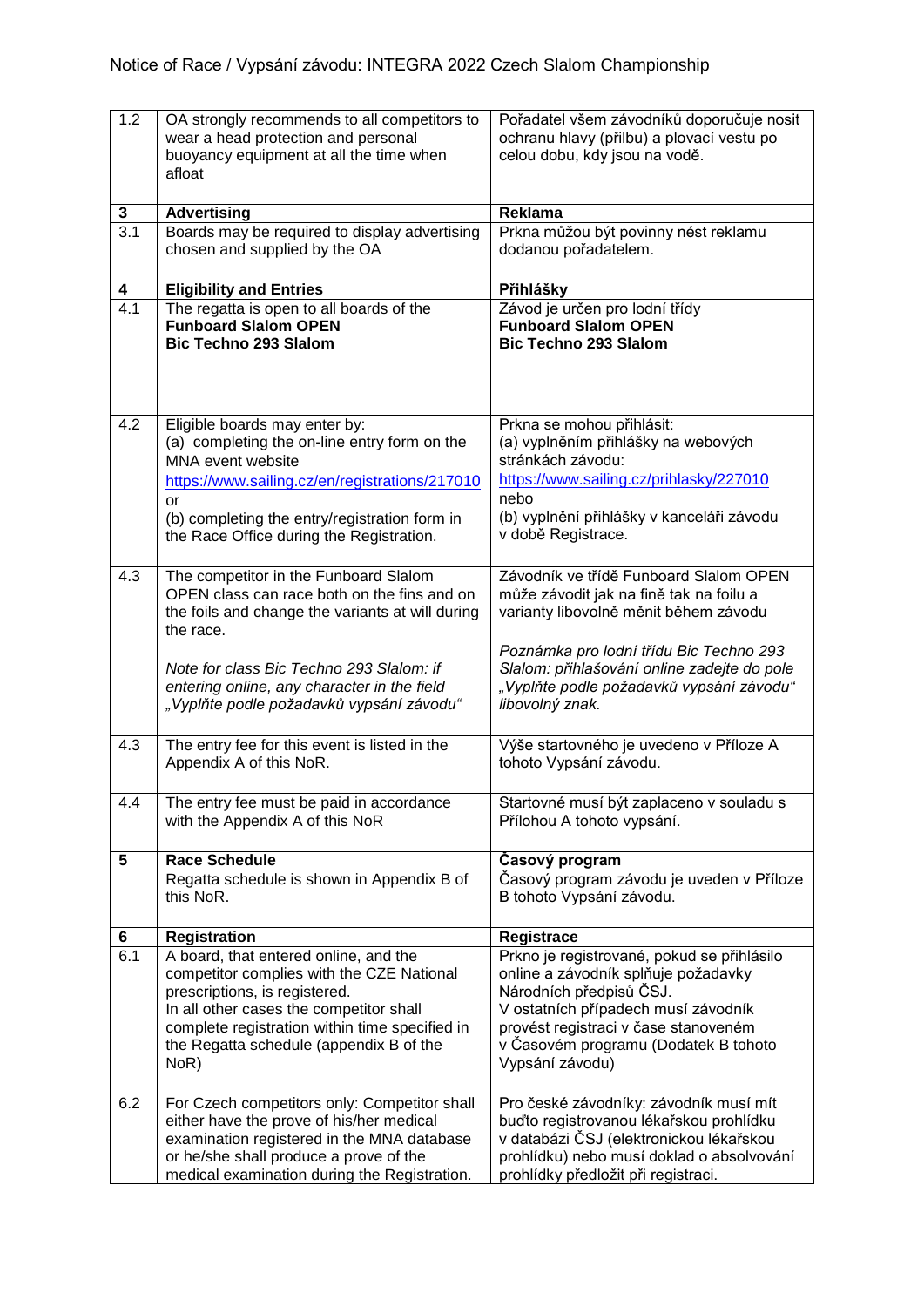| 1.2              | OA strongly recommends to all competitors to<br>wear a head protection and personal<br>buoyancy equipment at all the time when<br>afloat                                                                                                                                                     | Pořadatel všem závodníků doporučuje nosit<br>ochranu hlavy (přilbu) a plovací vestu po<br>celou dobu, kdy jsou na vodě.                                                                                                                                                             |
|------------------|----------------------------------------------------------------------------------------------------------------------------------------------------------------------------------------------------------------------------------------------------------------------------------------------|-------------------------------------------------------------------------------------------------------------------------------------------------------------------------------------------------------------------------------------------------------------------------------------|
| 3                | <b>Advertising</b>                                                                                                                                                                                                                                                                           | Reklama                                                                                                                                                                                                                                                                             |
| $\overline{3.1}$ | Boards may be required to display advertising<br>chosen and supplied by the OA                                                                                                                                                                                                               | Prkna můžou být povinny nést reklamu<br>dodanou pořadatelem.                                                                                                                                                                                                                        |
| 4                | <b>Eligibility and Entries</b>                                                                                                                                                                                                                                                               | Přihlášky                                                                                                                                                                                                                                                                           |
| $\overline{4.1}$ | The regatta is open to all boards of the<br><b>Funboard Slalom OPEN</b><br><b>Bic Techno 293 Slalom</b>                                                                                                                                                                                      | Závod je určen pro lodní třídy<br><b>Funboard Slalom OPEN</b><br><b>Bic Techno 293 Slalom</b>                                                                                                                                                                                       |
| 4.2              | Eligible boards may enter by:<br>(a) completing the on-line entry form on the<br>MNA event website<br>https://www.sailing.cz/en/registrations/217010<br>or<br>(b) completing the entry/registration form in<br>the Race Office during the Registration.                                      | Prkna se mohou přihlásit:<br>(a) vyplněním přihlášky na webových<br>stránkách závodu:<br>https://www.sailing.cz/prihlasky/227010<br>nebo<br>(b) vyplnění přihlášky v kanceláři závodu<br>v době Registrace.                                                                         |
| 4.3              | The competitor in the Funboard Slalom<br>OPEN class can race both on the fins and on<br>the foils and change the variants at will during<br>the race.<br>Note for class Bic Techno 293 Slalom: if<br>entering online, any character in the field<br>"Vyplňte podle požadavků vypsání závodu" | Závodník ve třídě Funboard Slalom OPEN<br>může závodit jak na fině tak na foilu a<br>varianty libovolně měnit během závodu<br>Poznámka pro lodní třídu Bic Techno 293<br>Slalom: přihlašování online zadejte do pole<br>"Vyplňte podle požadavků vypsání závodu"<br>libovolný znak. |
| 4.3              | The entry fee for this event is listed in the<br>Appendix A of this NoR.                                                                                                                                                                                                                     | Výše startovného je uvedeno v Příloze A<br>tohoto Vypsání závodu.                                                                                                                                                                                                                   |
| 4.4              | The entry fee must be paid in accordance<br>with the Appendix A of this NoR                                                                                                                                                                                                                  | Startovné musí být zaplaceno v souladu s<br>Přílohou A tohoto vypsání.                                                                                                                                                                                                              |
| 5                | <b>Race Schedule</b>                                                                                                                                                                                                                                                                         | Časový program                                                                                                                                                                                                                                                                      |
|                  | Regatta schedule is shown in Appendix B of<br>this NoR.                                                                                                                                                                                                                                      | Časový program závodu je uveden v Příloze<br>B tohoto Vypsání závodu.                                                                                                                                                                                                               |
| 6                | <b>Registration</b>                                                                                                                                                                                                                                                                          | Registrace                                                                                                                                                                                                                                                                          |
| 6.1              | A board, that entered online, and the<br>competitor complies with the CZE National<br>prescriptions, is registered.<br>In all other cases the competitor shall<br>complete registration within time specified in<br>the Regatta schedule (appendix B of the<br>NoR)                          | Prkno je registrované, pokud se přihlásilo<br>online a závodník splňuje požadavky<br>Národních předpisů ČSJ.<br>V ostatních případech musí závodník<br>provést registraci v čase stanoveném<br>v Časovém programu (Dodatek B tohoto<br>Vypsání závodu)                              |
| 6.2              | For Czech competitors only: Competitor shall<br>either have the prove of his/her medical<br>examination registered in the MNA database<br>or he/she shall produce a prove of the<br>medical examination during the Registration.                                                             | Pro české závodníky: závodník musí mít<br>buďto registrovanou lékařskou prohlídku<br>v databázi ČSJ (elektronickou lékařskou<br>prohlídku) nebo musí doklad o absolvování<br>prohlídky předložit při registraci.                                                                    |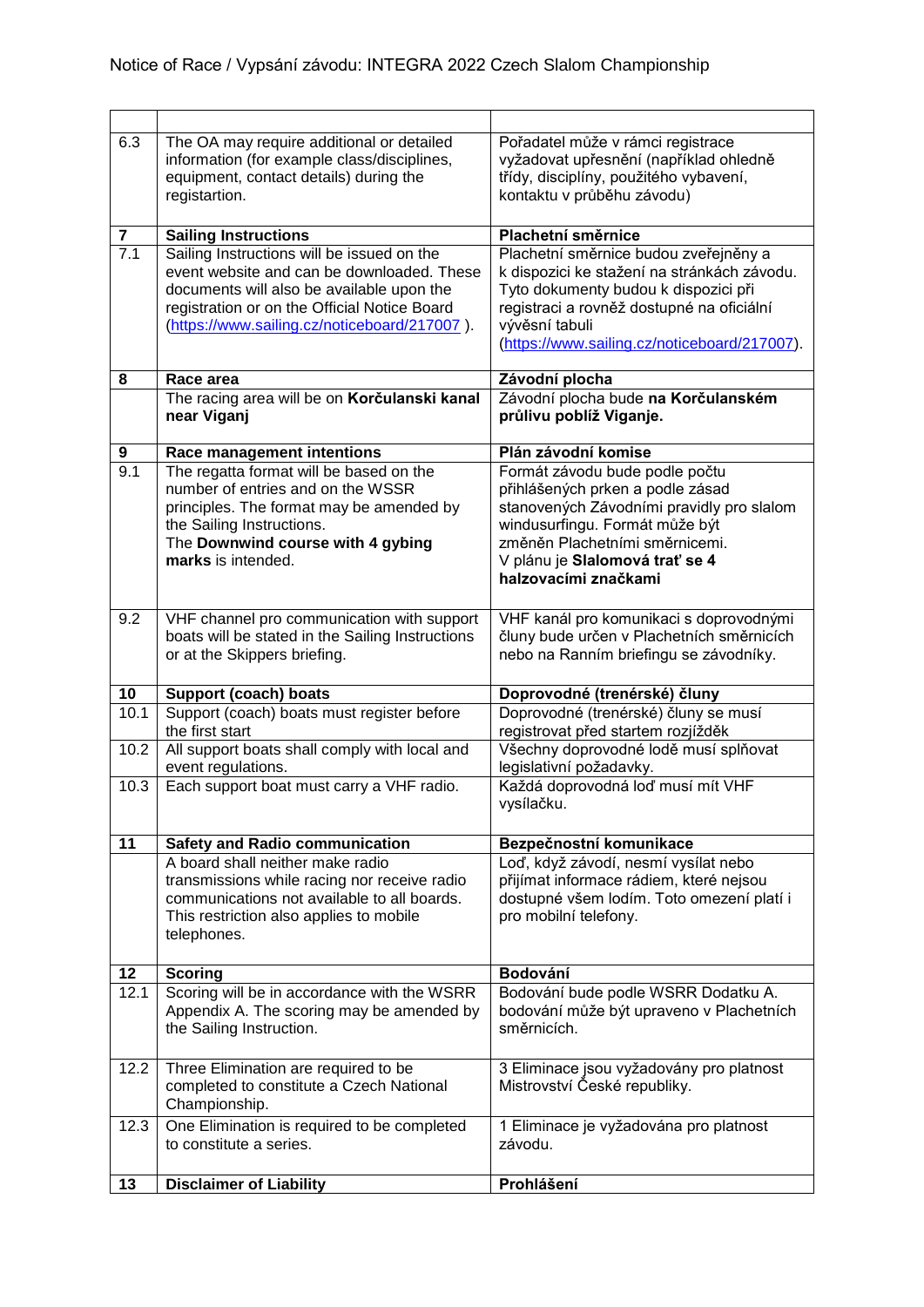| 6.3                     | The OA may require additional or detailed<br>information (for example class/disciplines,     | Pořadatel může v rámci registrace<br>vyžadovat upřesnění (například ohledně   |
|-------------------------|----------------------------------------------------------------------------------------------|-------------------------------------------------------------------------------|
|                         | equipment, contact details) during the<br>registartion.                                      | třídy, disciplíny, použitého vybavení,<br>kontaktu v průběhu závodu)          |
| $\overline{\mathbf{7}}$ |                                                                                              | Plachetní směrnice                                                            |
| 7.1                     | <b>Sailing Instructions</b><br>Sailing Instructions will be issued on the                    | Plachetní směrnice budou zveřejněny a                                         |
|                         | event website and can be downloaded. These                                                   | k dispozici ke stažení na stránkách závodu.                                   |
|                         | documents will also be available upon the                                                    | Tyto dokumenty budou k dispozici při                                          |
|                         | registration or on the Official Notice Board<br>(https://www.sailing.cz/noticeboard/217007). | registraci a rovněž dostupné na oficiální<br>vývěsní tabuli                   |
|                         |                                                                                              | (https://www.sailing.cz/noticeboard/217007).                                  |
|                         |                                                                                              |                                                                               |
| 8                       | Race area                                                                                    | Závodní plocha                                                                |
|                         | The racing area will be on Korčulanski kanal<br>near Viganj                                  | Závodní plocha bude na Korčulanském<br>průlivu poblíž Viganje.                |
| 9                       | Race management intentions                                                                   | Plán závodní komise                                                           |
| 9.1                     | The regatta format will be based on the                                                      | Formát závodu bude podle počtu                                                |
|                         | number of entries and on the WSSR<br>principles. The format may be amended by                | přihlášených prken a podle zásad<br>stanovených Závodními pravidly pro slalom |
|                         | the Sailing Instructions.                                                                    | windusurfingu. Formát může být                                                |
|                         | The Downwind course with 4 gybing                                                            | změněn Plachetními směrnicemi.                                                |
|                         | marks is intended.                                                                           | V plánu je Slalomová trať se 4                                                |
|                         |                                                                                              | halzovacími značkami                                                          |
| 9.2                     | VHF channel pro communication with support                                                   | VHF kanál pro komunikaci s doprovodnými                                       |
|                         | boats will be stated in the Sailing Instructions                                             | čluny bude určen v Plachetních směrnicích                                     |
|                         | or at the Skippers briefing.                                                                 | nebo na Ranním briefingu se závodníky.                                        |
| 10                      | <b>Support (coach) boats</b>                                                                 | Doprovodné (trenérské) čluny                                                  |
| 10.1                    | Support (coach) boats must register before                                                   | Doprovodné (trenérské) čluny se musí                                          |
| 10.2                    | the first start                                                                              | registrovat před startem rozjížděk<br>Všechny doprovodné lodě musí splňovat   |
|                         | All support boats shall comply with local and<br>event regulations.                          | legislativní požadavky.                                                       |
| 10.3                    | Each support boat must carry a VHF radio.                                                    | Každá doprovodná loď musí mít VHF                                             |
|                         |                                                                                              | vysílačku.                                                                    |
| 11                      | <b>Safety and Radio communication</b>                                                        | Bezpečnostní komunikace                                                       |
|                         | A board shall neither make radio                                                             | Loď, když závodí, nesmí vysílat nebo                                          |
|                         | transmissions while racing nor receive radio                                                 | přijímat informace rádiem, které nejsou                                       |
|                         | communications not available to all boards.                                                  | dostupné všem lodím. Toto omezení platí i                                     |
|                         | This restriction also applies to mobile<br>telephones.                                       | pro mobilní telefony.                                                         |
|                         |                                                                                              |                                                                               |
| 12                      | <b>Scoring</b>                                                                               | Bodování                                                                      |
| 12.1                    | Scoring will be in accordance with the WSRR                                                  | Bodování bude podle WSRR Dodatku A.                                           |
|                         | Appendix A. The scoring may be amended by<br>the Sailing Instruction.                        | bodování může být upraveno v Plachetních<br>směrnicích.                       |
|                         |                                                                                              |                                                                               |
| 12.2                    | Three Elimination are required to be                                                         | 3 Eliminace jsou vyžadovány pro platnost                                      |
|                         | completed to constitute a Czech National                                                     | Mistrovství České republiky.                                                  |
|                         | Championship.                                                                                |                                                                               |
| 12.3                    | One Elimination is required to be completed<br>to constitute a series.                       | 1 Eliminace je vyžadována pro platnost<br>závodu.                             |
|                         |                                                                                              |                                                                               |
| 13                      | <b>Disclaimer of Liability</b>                                                               | Prohlášení                                                                    |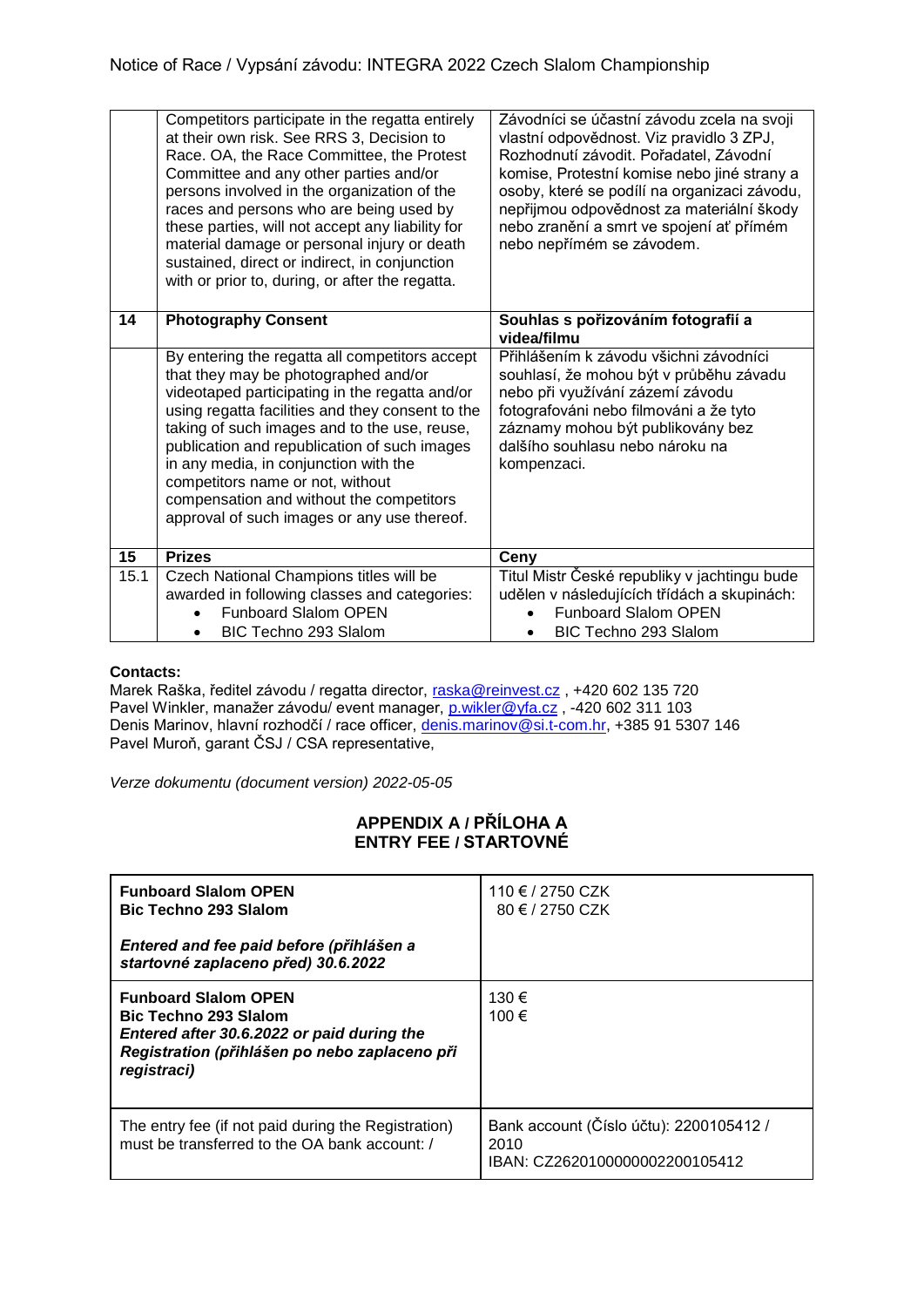|      | Competitors participate in the regatta entirely<br>at their own risk. See RRS 3, Decision to<br>Race. OA, the Race Committee, the Protest<br>Committee and any other parties and/or<br>persons involved in the organization of the<br>races and persons who are being used by<br>these parties, will not accept any liability for<br>material damage or personal injury or death<br>sustained, direct or indirect, in conjunction                                    | Závodníci se účastní závodu zcela na svoji<br>vlastní odpovědnost. Viz pravidlo 3 ZPJ,<br>Rozhodnutí závodit. Pořadatel, Závodní<br>komise, Protestní komise nebo jiné strany a<br>osoby, které se podílí na organizaci závodu,<br>nepřijmou odpovědnost za materiální škody<br>nebo zranění a smrt ve spojení ať přímém<br>nebo nepřímém se závodem. |
|------|----------------------------------------------------------------------------------------------------------------------------------------------------------------------------------------------------------------------------------------------------------------------------------------------------------------------------------------------------------------------------------------------------------------------------------------------------------------------|-------------------------------------------------------------------------------------------------------------------------------------------------------------------------------------------------------------------------------------------------------------------------------------------------------------------------------------------------------|
| 14   | with or prior to, during, or after the regatta.<br><b>Photography Consent</b>                                                                                                                                                                                                                                                                                                                                                                                        | Souhlas s pořizováním fotografií a                                                                                                                                                                                                                                                                                                                    |
|      |                                                                                                                                                                                                                                                                                                                                                                                                                                                                      | videa/filmu                                                                                                                                                                                                                                                                                                                                           |
|      | By entering the regatta all competitors accept<br>that they may be photographed and/or<br>videotaped participating in the regatta and/or<br>using regatta facilities and they consent to the<br>taking of such images and to the use, reuse,<br>publication and republication of such images<br>in any media, in conjunction with the<br>competitors name or not, without<br>compensation and without the competitors<br>approval of such images or any use thereof. | Přihlášením k závodu všichni závodníci<br>souhlasí, že mohou být v průběhu závadu<br>nebo při využívání zázemí závodu<br>fotografováni nebo filmováni a že tyto<br>záznamy mohou být publikovány bez<br>dalšího souhlasu nebo nároku na<br>kompenzaci.                                                                                                |
| 15   | <b>Prizes</b>                                                                                                                                                                                                                                                                                                                                                                                                                                                        | Ceny                                                                                                                                                                                                                                                                                                                                                  |
| 15.1 | Czech National Champions titles will be<br>awarded in following classes and categories:<br><b>Funboard Slalom OPEN</b><br>BIC Techno 293 Slalom                                                                                                                                                                                                                                                                                                                      | Titul Mistr České republiky v jachtingu bude<br>udělen v následujících třídách a skupinách:<br><b>Funboard Slalom OPEN</b><br>BIC Techno 293 Slalom                                                                                                                                                                                                   |

## **Contacts:**

Marek Raška, ředitel závodu / regatta director, <u>raska@reinvest.cz</u> , +420 602 135 720 Pavel Winkler, manažer závodu/ event manager, <u>p.wikler@yfa.cz</u> , -420 602 311 103 Denis Marinov, hlavní rozhodčí / race officer, [denis.marinov@si.t-com.hr,](mailto:denis.marinov@si.t-com.hr) +385 91 5307 146 Pavel Muroň, garant ČSJ / CSA representative,

*Verze dokumentu (document version) 2022-05-05*

## **APPENDIX A / PŘÍLOHA A ENTRY FEE / STARTOVNÉ**

| <b>Funboard Slalom OPEN</b><br><b>Bic Techno 293 Slalom</b>                                                                                                               | 110 € / 2750 CZK<br>80 € / 2750 CZK                                               |
|---------------------------------------------------------------------------------------------------------------------------------------------------------------------------|-----------------------------------------------------------------------------------|
| Entered and fee paid before (přihlášen a<br>startovné zaplaceno před) 30.6.2022                                                                                           |                                                                                   |
| <b>Funboard Slalom OPEN</b><br><b>Bic Techno 293 Slalom</b><br>Entered after 30.6.2022 or paid during the<br>Registration (přihlášen po nebo zaplaceno při<br>registraci) | 130 €<br>100 €                                                                    |
| The entry fee (if not paid during the Registration)<br>must be transferred to the OA bank account: /                                                                      | Bank account (Číslo účtu): 2200105412 /<br>2010<br>IBAN: CZ2620100000002200105412 |